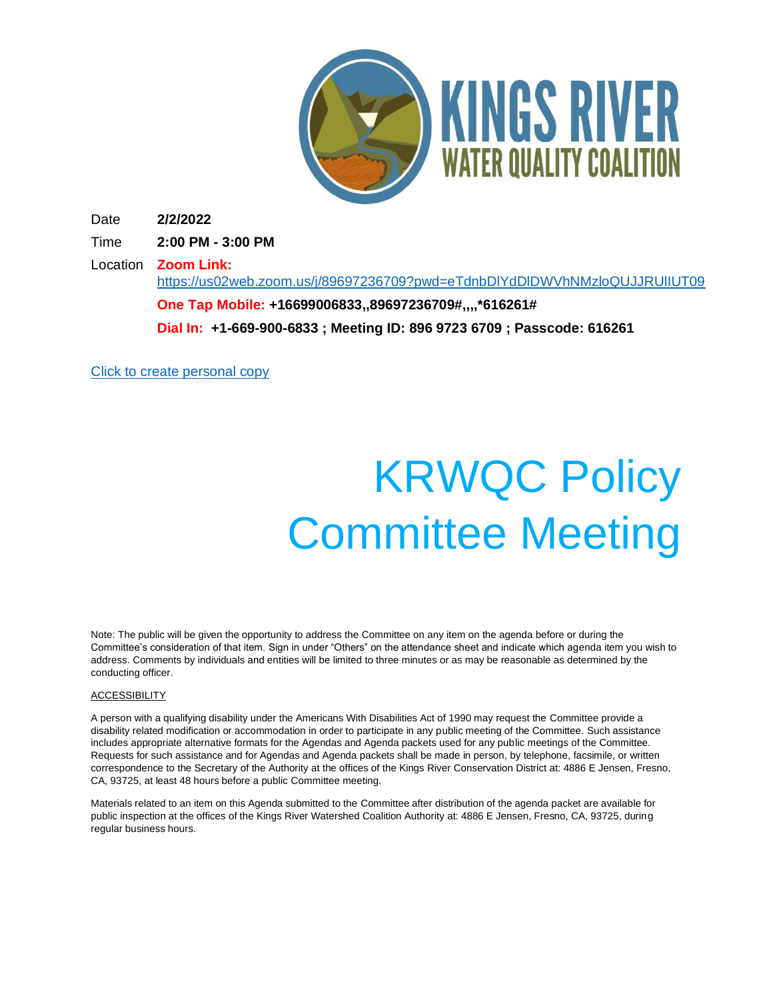

Date **2/2/2022**

Time **2:00 PM - 3:00 PM**

Location **Zoom Link:**  <https://us02web.zoom.us/j/89697236709?pwd=eTdnbDlYdDlDWVhNMzloQUJJRUlIUT09> **One Tap Mobile: +16699006833,,89697236709#,,,,\*616261# Dial In: +1-669-900-6833 ; Meeting ID: 896 9723 6709 ; Passcode: 616261**

[Click to create personal copy](https://app.boarddecisions.com/redirect/dialog?figgid=55b44e3c-6e58-48e5-9517-fa86c878e617&action=myannotations&actionid=1&from=appointment&createAnnotation=true&figgtenant=5e8da365-04e7-405e-b4b5-7eec6c65b1f4&figgrealm=krcd1.onmicrosoft.com)

# KRWQC Policy Committee Meeting

Note: The public will be given the opportunity to address the Committee on any item on the agenda before or during the Committee's consideration of that item. Sign in under "Others" on the attendance sheet and indicate which agenda item you wish to address. Comments by individuals and entities will be limited to three minutes or as may be reasonable as determined by the conducting officer.

#### **ACCESSIBILITY**

A person with a qualifying disability under the Americans With Disabilities Act of 1990 may request the Committee provide a disability related modification or accommodation in order to participate in any public meeting of the Committee. Such assistance includes appropriate alternative formats for the Agendas and Agenda packets used for any public meetings of the Committee. Requests for such assistance and for Agendas and Agenda packets shall be made in person, by telephone, facsimile, or written correspondence to the Secretary of the Authority at the offices of the Kings River Conservation District at: 4886 E Jensen, Fresno, CA, 93725, at least 48 hours before a public Committee meeting.

Materials related to an item on this Agenda submitted to the Committee after distribution of the agenda packet are available for public inspection at the offices of the Kings River Watershed Coalition Authority at: 4886 E Jensen, Fresno, CA, 93725, during regular business hours.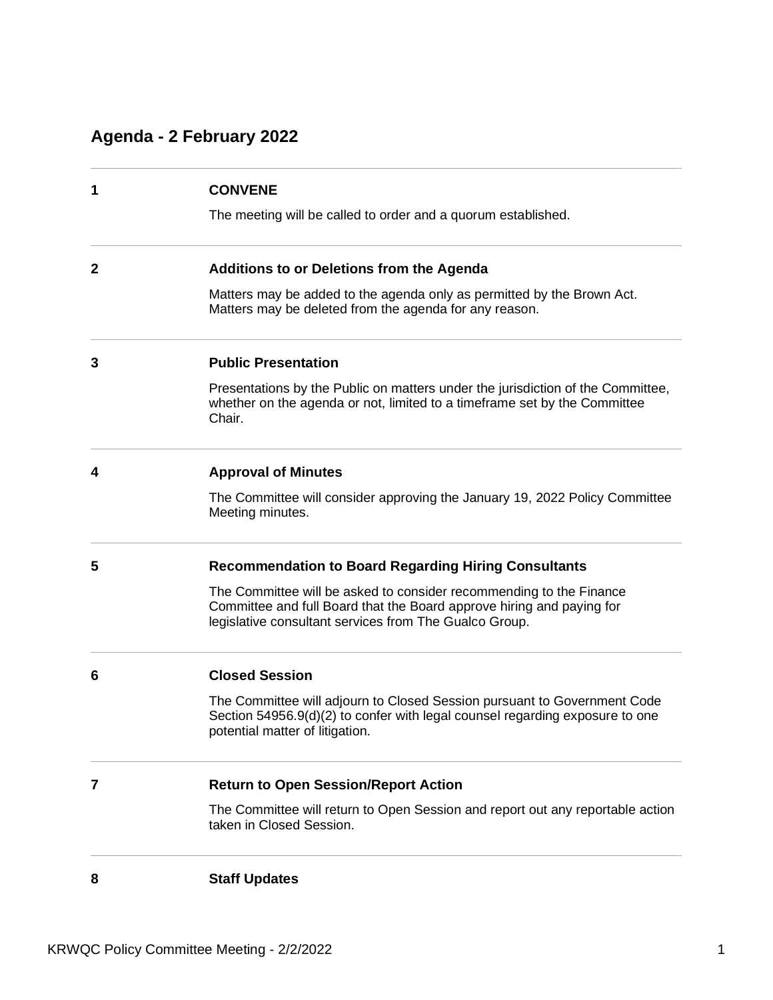## **Agenda - 2 February 2022**

| 1            | <b>CONVENE</b>                                                                                                                                                                                         |
|--------------|--------------------------------------------------------------------------------------------------------------------------------------------------------------------------------------------------------|
|              | The meeting will be called to order and a quorum established.                                                                                                                                          |
| $\mathbf{2}$ | <b>Additions to or Deletions from the Agenda</b>                                                                                                                                                       |
|              | Matters may be added to the agenda only as permitted by the Brown Act.<br>Matters may be deleted from the agenda for any reason.                                                                       |
| 3            | <b>Public Presentation</b>                                                                                                                                                                             |
|              | Presentations by the Public on matters under the jurisdiction of the Committee,<br>whether on the agenda or not, limited to a timeframe set by the Committee<br>Chair.                                 |
| 4            | <b>Approval of Minutes</b>                                                                                                                                                                             |
|              | The Committee will consider approving the January 19, 2022 Policy Committee<br>Meeting minutes.                                                                                                        |
| 5            | <b>Recommendation to Board Regarding Hiring Consultants</b>                                                                                                                                            |
|              | The Committee will be asked to consider recommending to the Finance<br>Committee and full Board that the Board approve hiring and paying for<br>legislative consultant services from The Gualco Group. |
| 6            | <b>Closed Session</b>                                                                                                                                                                                  |
|              | The Committee will adjourn to Closed Session pursuant to Government Code<br>Section 54956.9(d)(2) to confer with legal counsel regarding exposure to one<br>potential matter of litigation.            |
| 7            | <b>Return to Open Session/Report Action</b>                                                                                                                                                            |
|              | The Committee will return to Open Session and report out any reportable action<br>taken in Closed Session.                                                                                             |
| 8            | <b>Staff Updates</b>                                                                                                                                                                                   |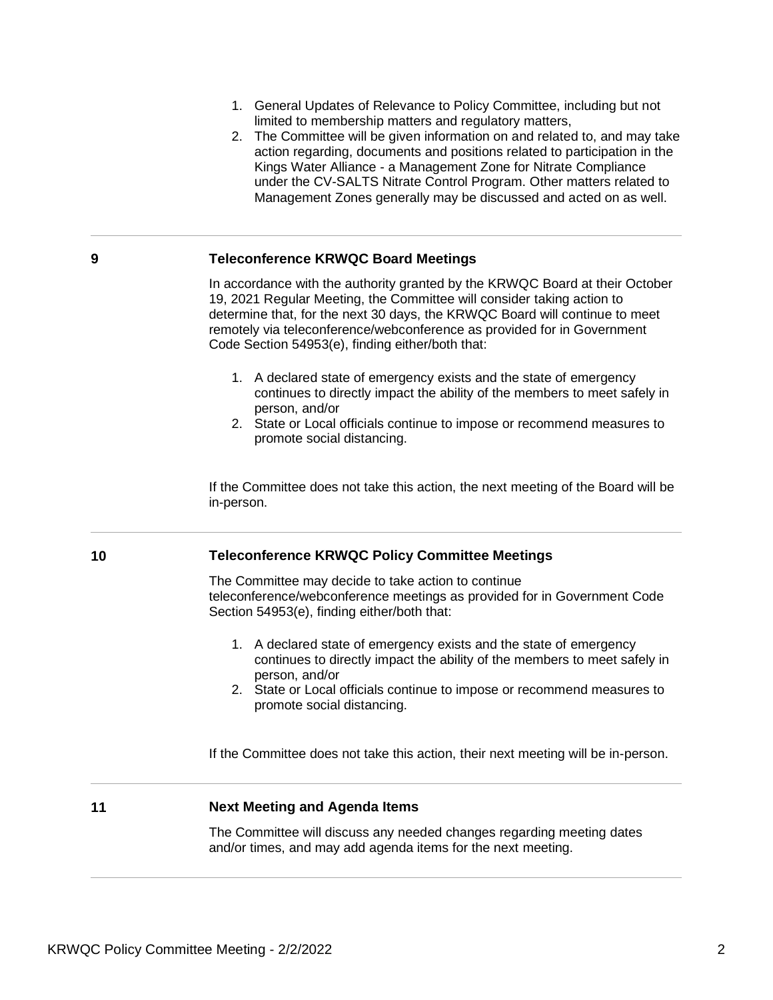- 1. General Updates of Relevance to Policy Committee, including but not limited to membership matters and regulatory matters,
- 2. The Committee will be given information on and related to, and may take action regarding, documents and positions related to participation in the Kings Water Alliance - a Management Zone for Nitrate Compliance under the CV-SALTS Nitrate Control Program. Other matters related to Management Zones generally may be discussed and acted on as well.

#### **9 Teleconference KRWQC Board Meetings**

In accordance with the authority granted by the KRWQC Board at their October 19, 2021 Regular Meeting, the Committee will consider taking action to determine that, for the next 30 days, the KRWQC Board will continue to meet remotely via teleconference/webconference as provided for in Government Code Section 54953(e), finding either/both that:

- 1. A declared state of emergency exists and the state of emergency continues to directly impact the ability of the members to meet safely in person, and/or
- 2. State or Local officials continue to impose or recommend measures to promote social distancing.

If the Committee does not take this action, the next meeting of the Board will be in-person.

#### **10 Teleconference KRWQC Policy Committee Meetings**

The Committee may decide to take action to continue teleconference/webconference meetings as provided for in Government Code Section 54953(e), finding either/both that:

- 1. A declared state of emergency exists and the state of emergency continues to directly impact the ability of the members to meet safely in person, and/or
- 2. State or Local officials continue to impose or recommend measures to promote social distancing.

If the Committee does not take this action, their next meeting will be in-person.

#### **11 Next Meeting and Agenda Items**

The Committee will discuss any needed changes regarding meeting dates and/or times, and may add agenda items for the next meeting.